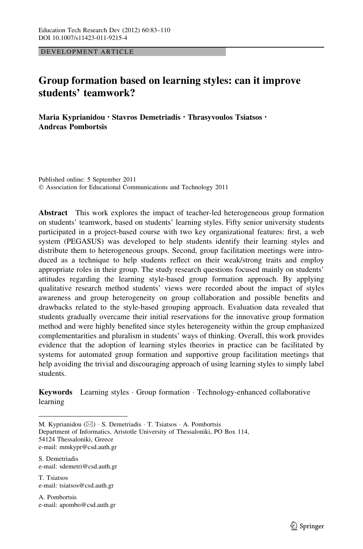DEVELOPMENT ARTICLE

# Group formation based on learning styles: can it improve students' teamwork?

Maria Kyprianidou • Stavros Demetriadis • Thrasyvoulos Tsiatsos • Andreas Pombortsis

Published online: 5 September 2011 - Association for Educational Communications and Technology 2011

Abstract This work explores the impact of teacher-led heterogeneous group formation on students' teamwork, based on students' learning styles. Fifty senior university students participated in a project-based course with two key organizational features: first, a web system (PEGASUS) was developed to help students identify their learning styles and distribute them to heterogeneous groups. Second, group facilitation meetings were introduced as a technique to help students reflect on their weak/strong traits and employ appropriate roles in their group. The study research questions focused mainly on students' attitudes regarding the learning style-based group formation approach. By applying qualitative research method students' views were recorded about the impact of styles awareness and group heterogeneity on group collaboration and possible benefits and drawbacks related to the style-based grouping approach. Evaluation data revealed that students gradually overcame their initial reservations for the innovative group formation method and were highly benefited since styles heterogeneity within the group emphasized complementarities and pluralism in students' ways of thinking. Overall, this work provides evidence that the adoption of learning styles theories in practice can be facilitated by systems for automated group formation and supportive group facilitation meetings that help avoiding the trivial and discouraging approach of using learning styles to simply label students.

Keywords Learning styles · Group formation · Technology-enhanced collaborative learning

e-mail: mmkypr@csd.auth.gr

S. Demetriadis e-mail: sdemetri@csd.auth.gr

T. Tsiatsos e-mail: tsiatsos@csd.auth.gr

A. Pombortsis e-mail: apombo@csd.auth.gr

M. Kyprianidou (⊠) · S. Demetriadis · T. Tsiatsos · A. Pombortsis

Department of Informatics, Aristotle University of Thessaloniki, PO Box 114, 54124 Thessaloniki, Greece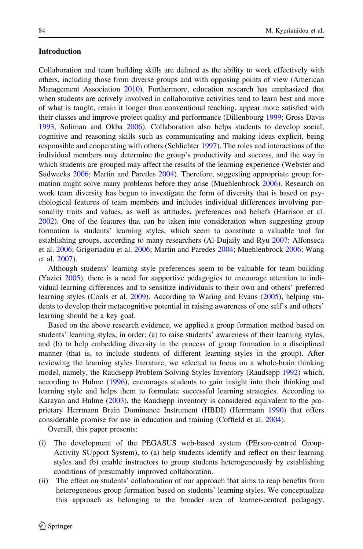### Introduction

Collaboration and team building skills are defined as the ability to work effectively with others, including those from diverse groups and with opposing points of view (American Management Association [2010](#page-24-0)). Furthermore, education research has emphasized that when students are actively involved in collaborative activities tend to learn best and more of what is taught, retain it longer than conventional teaching, appear more satisfied with their classes and improve project quality and performance (Dillenbourg [1999;](#page-24-0) Gross Davis [1993,](#page-25-0) Soliman and Okba [2006](#page-26-0)). Collaboration also helps students to develop social, cognitive and reasoning skills such as communicating and making ideas explicit, being responsible and cooperating with others (Schlichter [1997\)](#page-26-0). The roles and interactions of the individual members may determine the group's productivity and success, and the way in which students are grouped may affect the results of the learning experience (Webster and Sudweeks [2006](#page-26-0); Martin and Paredes [2004\)](#page-25-0). Therefore, suggesting appropriate group formation might solve many problems before they arise (Muehlenbrock [2006](#page-26-0)). Research on work team diversity has begun to investigate the form of diversity that is based on psychological features of team members and includes individual differences involving personality traits and values, as well as attitudes, preferences and beliefs (Harrison et al. [2002\)](#page-25-0). One of the features that can be taken into consideration when suggesting group formation is students' learning styles, which seem to constitute a valuable tool for establishing groups, according to many researchers (Al-Dujaily and Ryu [2007](#page-24-0); Alfonseca et al. [2006](#page-24-0); Grigoriadou et al. [2006;](#page-24-0) Martin and Paredes [2004;](#page-25-0) Muehlenbrock [2006;](#page-26-0) Wang et al. [2007](#page-26-0)).

Although students' learning style preferences seem to be valuable for team building (Yazici [2005](#page-27-0)), there is a need for supportive pedagogies to encourage attention to individual learning differences and to sensitize individuals to their own and others' preferred learning styles (Cools et al. [2009\)](#page-24-0). According to Waring and Evans ([2005\)](#page-26-0), helping students to develop their metacognitive potential in raising awareness of one self's and others' learning should be a key goal.

Based on the above research evidence, we applied a group formation method based on students' learning styles, in order: (a) to raise students' awareness of their learning styles, and (b) to help embedding diversity in the process of group formation in a disciplined manner (that is, to include students of different learning styles in the group). After reviewing the learning styles literature, we selected to focus on a whole-brain thinking model, namely, the Raudsepp Problem Solving Styles Inventory (Raudsepp [1992\)](#page-26-0) which, according to Hulme [\(1996](#page-25-0)), encourages students to gain insight into their thinking and learning style and helps them to formulate successful learning strategies. According to Karayan and Hulme [\(2003](#page-25-0)), the Raudsepp inventory is considered equivalent to the proprietary Herrmann Brain Dominance Instrument (HBDI) (Herrmann [1990\)](#page-25-0) that offers considerable promise for use in education and training (Coffield et al. [2004\)](#page-24-0).

Overall, this paper presents:

- (i) The development of the PEGASUS web-based system (PErson-centred Group-Activity SUpport System), to (a) help students identify and reflect on their learning styles and (b) enable instructors to group students heterogeneously by establishing conditions of presumably improved collaboration.
- (ii) The effect on students' collaboration of our approach that aims to reap benefits from heterogeneous group formation based on students' learning styles. We conceptualize this approach as belonging to the broader area of learner-centred pedagogy,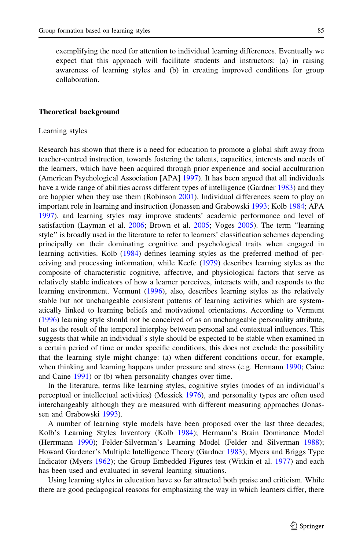exemplifying the need for attention to individual learning differences. Eventually we expect that this approach will facilitate students and instructors: (a) in raising awareness of learning styles and (b) in creating improved conditions for group collaboration.

#### Theoretical background

#### Learning styles

Research has shown that there is a need for education to promote a global shift away from teacher-centred instruction, towards fostering the talents, capacities, interests and needs of the learners, which have been acquired through prior experience and social acculturation (American Psychological Association [APA] [1997](#page-24-0)). It has been argued that all individuals have a wide range of abilities across different types of intelligence (Gardner [1983\)](#page-24-0) and they are happier when they use them (Robinson [2001](#page-26-0)). Individual differences seem to play an important role in learning and instruction (Jonassen and Grabowski [1993](#page-25-0); Kolb [1984;](#page-25-0) APA [1997\)](#page-24-0), and learning styles may improve students' academic performance and level of satisfaction (Layman et al. [2006;](#page-25-0) Brown et al. [2005;](#page-24-0) Voges [2005\)](#page-26-0). The term ''learning style'' is broadly used in the literature to refer to learners' classification schemes depending principally on their dominating cognitive and psychological traits when engaged in learning activities. Kolb ([1984\)](#page-25-0) defines learning styles as the preferred method of perceiving and processing information, while Keefe ([1979\)](#page-25-0) describes learning styles as the composite of characteristic cognitive, affective, and physiological factors that serve as relatively stable indicators of how a learner perceives, interacts with, and responds to the learning environment. Vermunt ([1996\)](#page-26-0), also, describes learning styles as the relatively stable but not unchangeable consistent patterns of learning activities which are systematically linked to learning beliefs and motivational orientations. According to Vermunt ([1996\)](#page-26-0) learning style should not be conceived of as an unchangeable personality attribute, but as the result of the temporal interplay between personal and contextual influences. This suggests that while an individual's style should be expected to be stable when examined in a certain period of time or under specific conditions, this does not exclude the possibility that the learning style might change: (a) when different conditions occur, for example, when thinking and learning happens under pressure and stress (e.g. Hermann [1990;](#page-25-0) Caine and Caine [1991\)](#page-24-0) or (b) when personality changes over time.

In the literature, terms like learning styles, cognitive styles (modes of an individual's perceptual or intellectual activities) (Messick [1976\)](#page-26-0), and personality types are often used interchangeably although they are measured with different measuring approaches (Jonassen and Grabowski [1993\)](#page-25-0).

A number of learning style models have been proposed over the last three decades; Kolb's Learning Styles Inventory (Kolb [1984](#page-25-0)); Hermann's Brain Dominance Model (Herrmann [1990\)](#page-25-0); Felder-Silverman's Learning Model (Felder and Silverman [1988\)](#page-24-0); Howard Gardener's Multiple Intelligence Theory (Gardner [1983](#page-24-0)); Myers and Briggs Type Indicator (Myers [1962\)](#page-26-0); the Group Embedded Figures test (Witkin et al. [1977\)](#page-26-0) and each has been used and evaluated in several learning situations.

Using learning styles in education have so far attracted both praise and criticism. While there are good pedagogical reasons for emphasizing the way in which learners differ, there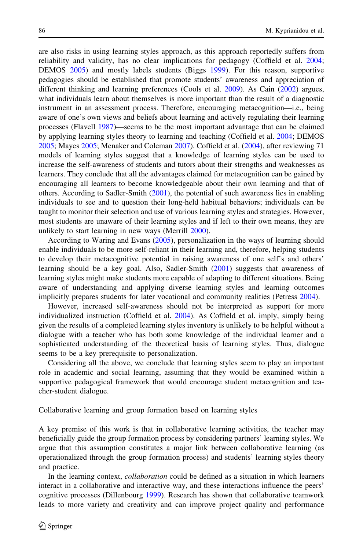are also risks in using learning styles approach, as this approach reportedly suffers from reliability and validity, has no clear implications for pedagogy (Coffield et al. [2004;](#page-24-0) DEMOS [2005\)](#page-24-0) and mostly labels students (Biggs [1999](#page-24-0)). For this reason, supportive pedagogies should be established that promote students' awareness and appreciation of different thinking and learning preferences (Cools et al. [2009\)](#page-24-0). As Cain ([2002](#page-24-0)) argues, what individuals learn about themselves is more important than the result of a diagnostic instrument in an assessment process. Therefore, encouraging metacognition—i.e., being aware of one's own views and beliefs about learning and actively regulating their learning processes (Flavell [1987\)](#page-24-0)—seems to be the most important advantage that can be claimed by applying learning styles theory to learning and teaching (Coffield et al. [2004](#page-24-0); DEMOS [2005;](#page-24-0) Mayes [2005](#page-26-0); Menaker and Coleman [2007](#page-26-0)). Coffield et al. [\(2004\)](#page-24-0), after reviewing 71 models of learning styles suggest that a knowledge of learning styles can be used to increase the self-awareness of students and tutors about their strengths and weaknesses as learners. They conclude that all the advantages claimed for metacognition can be gained by encouraging all learners to become knowledgeable about their own learning and that of others. According to Sadler-Smith ([2001\)](#page-26-0), the potential of such awareness lies in enabling individuals to see and to question their long-held habitual behaviors; individuals can be taught to monitor their selection and use of various learning styles and strategies. However, most students are unaware of their learning styles and if left to their own means, they are unlikely to start learning in new ways (Merrill [2000\)](#page-26-0).

According to Waring and Evans ([2005\)](#page-26-0), personalization in the ways of learning should enable individuals to be more self-reliant in their learning and, therefore, helping students to develop their metacognitive potential in raising awareness of one self's and others' learning should be a key goal. Also, Sadler-Smith [\(2001\)](#page-26-0) suggests that awareness of learning styles might make students more capable of adapting to different situations. Being aware of understanding and applying diverse learning styles and learning outcomes implicitly prepares students for later vocational and community realities (Petress [2004](#page-26-0)).

However, increased self-awareness should not be interpreted as support for more individualized instruction (Coffield et al. [2004\)](#page-24-0). As Coffield et al. imply, simply being given the results of a completed learning styles inventory is unlikely to be helpful without a dialogue with a teacher who has both some knowledge of the individual learner and a sophisticated understanding of the theoretical basis of learning styles. Thus, dialogue seems to be a key prerequisite to personalization.

Considering all the above, we conclude that learning styles seem to play an important role in academic and social learning, assuming that they would be examined within a supportive pedagogical framework that would encourage student metacognition and teacher-student dialogue.

Collaborative learning and group formation based on learning styles

A key premise of this work is that in collaborative learning activities, the teacher may beneficially guide the group formation process by considering partners' learning styles. We argue that this assumption constitutes a major link between collaborative learning (as operationalized through the group formation process) and students' learning styles theory and practice.

In the learning context, collaboration could be defined as a situation in which learners interact in a collaborative and interactive way, and these interactions influence the peers' cognitive processes (Dillenbourg [1999](#page-24-0)). Research has shown that collaborative teamwork leads to more variety and creativity and can improve project quality and performance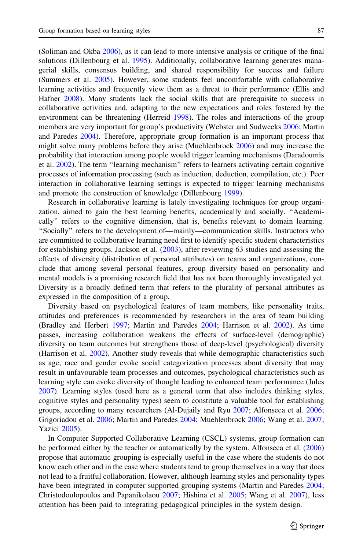(Soliman and Okba [2006](#page-26-0)), as it can lead to more intensive analysis or critique of the final solutions (Dillenbourg et al. [1995\)](#page-24-0). Additionally, collaborative learning generates managerial skills, consensus building, and shared responsibility for success and failure (Summers et al. [2005](#page-26-0)). However, some students feel uncomfortable with collaborative learning activities and frequently view them as a threat to their performance (Ellis and Hafner [2008](#page-24-0)). Many students lack the social skills that are prerequisite to success in collaborative activities and, adapting to the new expectations and roles fostered by the environment can be threatening (Herreid [1998\)](#page-25-0). The roles and interactions of the group members are very important for group's productivity (Webster and Sudweeks [2006;](#page-26-0) Martin and Paredes [2004](#page-25-0)). Therefore, appropriate group formation is an important process that might solve many problems before they arise (Muehlenbrock [2006\)](#page-26-0) and may increase the probability that interaction among people would trigger learning mechanisms (Daradoumis et al. [2002\)](#page-24-0). The term ''learning mechanism'' refers to learners activating certain cognitive processes of information processing (such as induction, deduction, compilation, etc.). Peer interaction in collaborative learning settings is expected to trigger learning mechanisms and promote the construction of knowledge (Dillenbourg [1999](#page-24-0)).

Research in collaborative learning is lately investigating techniques for group organization, aimed to gain the best learning benefits, academically and socially. ''Academically'' refers to the cognitive dimension, that is, benefits relevant to domain learning. ''Socially'' refers to the development of—mainly—communication skills. Instructors who are committed to collaborative learning need first to identify specific student characteristics for establishing groups. Jackson et al. [\(2003](#page-25-0)), after reviewing 63 studies and assessing the effects of diversity (distribution of personal attributes) on teams and organizations, conclude that among several personal features, group diversity based on personality and mental models is a promising research field that has not been thoroughly investigated yet. Diversity is a broadly defined term that refers to the plurality of personal attributes as expressed in the composition of a group.

Diversity based on psychological features of team members, like personality traits, attitudes and preferences is recommended by researchers in the area of team building (Bradley and Herbert [1997;](#page-24-0) Martin and Paredes [2004;](#page-25-0) Harrison et al. [2002\)](#page-25-0). As time passes, increasing collaboration weakens the effects of surface-level (demographic) diversity on team outcomes but strengthens those of deep-level (psychological) diversity (Harrison et al. [2002](#page-25-0)). Another study reveals that while demographic characteristics such as age, race and gender evoke social categorization processes about diversity that may result in unfavourable team processes and outcomes, psychological characteristics such as learning style can evoke diversity of thought leading to enhanced team performance (Jules [2007\)](#page-25-0). Learning styles (used here as a general term that also includes thinking styles, cognitive styles and personality types) seem to constitute a valuable tool for establishing groups, according to many researchers (Al-Dujaily and Ryu [2007](#page-24-0); Alfonseca et al. [2006;](#page-24-0) Grigoriadou et al. [2006](#page-24-0); Martin and Paredes [2004;](#page-25-0) Muehlenbrock [2006](#page-26-0); Wang et al. [2007;](#page-26-0) Yazici [2005\)](#page-27-0).

In Computer Supported Collaborative Learning (CSCL) systems, group formation can be performed either by the teacher or automatically by the system. Alfonseca et al. ([2006](#page-24-0)) propose that automatic grouping is especially useful in the case where the students do not know each other and in the case where students tend to group themselves in a way that does not lead to a fruitful collaboration. However, although learning styles and personality types have been integrated in computer supported grouping systems (Martin and Paredes [2004;](#page-25-0) Christodoulopoulos and Papanikolaou [2007;](#page-24-0) Hishina et al. [2005](#page-25-0); Wang et al. [2007\)](#page-26-0), less attention has been paid to integrating pedagogical principles in the system design.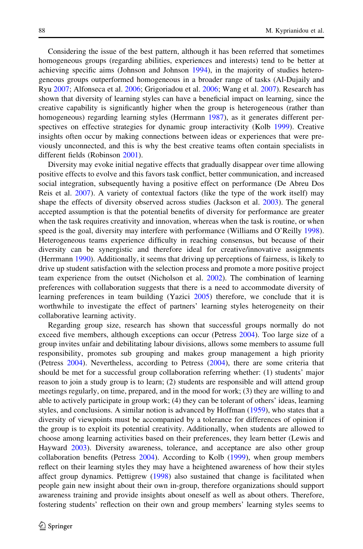Considering the issue of the best pattern, although it has been referred that sometimes homogeneous groups (regarding abilities, experiences and interests) tend to be better at achieving specific aims (Johnson and Johnson [1994](#page-25-0)), in the majority of studies heterogeneous groups outperformed homogeneous in a broader range of tasks (Al-Dujaily and Ryu [2007;](#page-24-0) Alfonseca et al. [2006](#page-24-0); Grigoriadou et al. [2006](#page-24-0); Wang et al. [2007\)](#page-26-0). Research has shown that diversity of learning styles can have a beneficial impact on learning, since the creative capability is significantly higher when the group is heterogeneous (rather than homogeneous) regarding learning styles (Herrmann [1987](#page-25-0)), as it generates different perspectives on effective strategies for dynamic group interactivity (Kolb [1999\)](#page-25-0). Creative insights often occur by making connections between ideas or experiences that were previously unconnected, and this is why the best creative teams often contain specialists in different fields (Robinson [2001\)](#page-26-0).

Diversity may evoke initial negative effects that gradually disappear over time allowing positive effects to evolve and this favors task conflict, better communication, and increased social integration, subsequently having a positive effect on performance (De Abreu Dos Reis et al. [2007\)](#page-24-0). A variety of contextual factors (like the type of the work itself) may shape the effects of diversity observed across studies (Jackson et al. [2003](#page-25-0)). The general accepted assumption is that the potential benefits of diversity for performance are greater when the task requires creativity and innovation, whereas when the task is routine, or when speed is the goal, diversity may interfere with performance (Williams and O'Reilly [1998](#page-26-0)). Heterogeneous teams experience difficulty in reaching consensus, but because of their diversity can be synergistic and therefore ideal for creative/innovative assignments (Herrmann [1990\)](#page-25-0). Additionally, it seems that driving up perceptions of fairness, is likely to drive up student satisfaction with the selection process and promote a more positive project team experience from the outset (Nicholson et al. [2002](#page-26-0)). The combination of learning preferences with collaboration suggests that there is a need to accommodate diversity of learning preferences in team building (Yazici [2005\)](#page-27-0) therefore, we conclude that it is worthwhile to investigate the effect of partners' learning styles heterogeneity on their collaborative learning activity.

Regarding group size, research has shown that successful groups normally do not exceed five members, although exceptions can occur (Petress [2004\)](#page-26-0). Too large size of a group invites unfair and debilitating labour divisions, allows some members to assume full responsibility, promotes sub grouping and makes group management a high priority (Petress [2004](#page-26-0)). Nevertheless, according to Petress ([2004\)](#page-26-0), there are some criteria that should be met for a successful group collaboration referring whether: (1) students' major reason to join a study group is to learn; (2) students are responsible and will attend group meetings regularly, on time, prepared, and in the mood for work; (3) they are willing to and able to actively participate in group work; (4) they can be tolerant of others' ideas, learning styles, and conclusions. A similar notion is advanced by Hoffman [\(1959](#page-25-0)), who states that a diversity of viewpoints must be accompanied by a tolerance for differences of opinion if the group is to exploit its potential creativity. Additionally, when students are allowed to choose among learning activities based on their preferences, they learn better (Lewis and Hayward [2003](#page-25-0)). Diversity awareness, tolerance, and acceptance are also other group collaboration benefits (Petress [2004](#page-26-0)). According to Kolb ([1999\)](#page-25-0), when group members reflect on their learning styles they may have a heightened awareness of how their styles affect group dynamics. Pettigrew [\(1998](#page-26-0)) also sustained that change is facilitated when people gain new insight about their own in-group, therefore organizations should support awareness training and provide insights about oneself as well as about others. Therefore, fostering students' reflection on their own and group members' learning styles seems to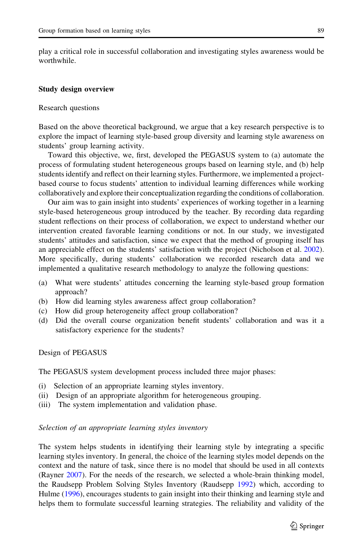play a critical role in successful collaboration and investigating styles awareness would be worthwhile.

#### Study design overview

#### Research questions

Based on the above theoretical background, we argue that a key research perspective is to explore the impact of learning style-based group diversity and learning style awareness on students' group learning activity.

Toward this objective, we, first, developed the PEGASUS system to (a) automate the process of formulating student heterogeneous groups based on learning style, and (b) help students identify and reflect on their learning styles. Furthermore, we implemented a projectbased course to focus students' attention to individual learning differences while working collaboratively and explore their conceptualization regarding the conditions of collaboration.

Our aim was to gain insight into students' experiences of working together in a learning style-based heterogeneous group introduced by the teacher. By recording data regarding student reflections on their process of collaboration, we expect to understand whether our intervention created favorable learning conditions or not. In our study, we investigated students' attitudes and satisfaction, since we expect that the method of grouping itself has an appreciable effect on the students' satisfaction with the project (Nicholson et al. [2002](#page-26-0)). More specifically, during students' collaboration we recorded research data and we implemented a qualitative research methodology to analyze the following questions:

- (a) What were students' attitudes concerning the learning style-based group formation approach?
- (b) How did learning styles awareness affect group collaboration?
- (c) How did group heterogeneity affect group collaboration?
- (d) Did the overall course organization benefit students' collaboration and was it a satisfactory experience for the students?

Design of PEGASUS

The PEGASUS system development process included three major phases:

- (i) Selection of an appropriate learning styles inventory.
- (ii) Design of an appropriate algorithm for heterogeneous grouping.
- (iii) The system implementation and validation phase.

### Selection of an appropriate learning styles inventory

The system helps students in identifying their learning style by integrating a specific learning styles inventory. In general, the choice of the learning styles model depends on the context and the nature of task, since there is no model that should be used in all contexts (Rayner [2007](#page-26-0)). For the needs of the research, we selected a whole-brain thinking model, the Raudsepp Problem Solving Styles Inventory (Raudsepp [1992](#page-26-0)) which, according to Hulme ([1996\)](#page-25-0), encourages students to gain insight into their thinking and learning style and helps them to formulate successful learning strategies. The reliability and validity of the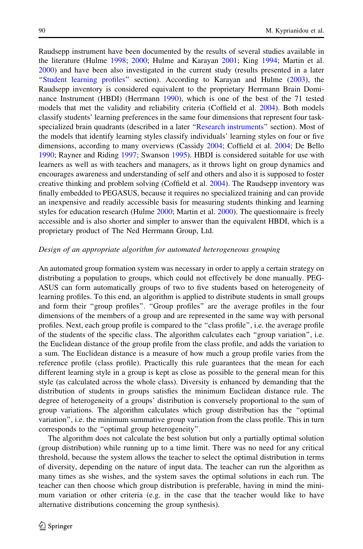Raudsepp instrument have been documented by the results of several studies available in the literature (Hulme [1998;](#page-25-0) [2000](#page-25-0); Hulme and Karayan [2001](#page-25-0); King [1994;](#page-25-0) Martin et al. [2000\)](#page-25-0) and have been also investigated in the current study (results presented in a later ''[Student learning profiles'](#page-13-0)' section). According to Karayan and Hulme ([2003\)](#page-25-0), the Raudsepp inventory is considered equivalent to the proprietary Herrmann Brain Dominance Instrument (HBDI) (Herrmann [1990\)](#page-25-0), which is one of the best of the 71 tested models that met the validity and reliability criteria (Coffield et al. [2004](#page-24-0)). Both models classify students' learning preferences in the same four dimensions that represent four taskspecialized brain quadrants (described in a later "Research instruments" section). Most of the models that identify learning styles classify individuals' learning styles on four or five dimensions, according to many overviews (Cassidy [2004](#page-24-0); Coffield et al. [2004;](#page-24-0) De Bello [1990;](#page-24-0) Rayner and Riding [1997](#page-26-0); Swanson [1995\)](#page-26-0). HBDI is considered suitable for use with learners as well as with teachers and managers, as it throws light on group dynamics and encourages awareness and understanding of self and others and also it is supposed to foster creative thinking and problem solving (Coffield et al. [2004\)](#page-24-0). The Raudsepp inventory was finally embedded to PEGASUS, because it requires no specialized training and can provide an inexpensive and readily accessible basis for measuring students thinking and learning styles for education research (Hulme [2000;](#page-25-0) Martin et al. [2000](#page-25-0)). The questionnaire is freely accessible and is also shorter and simpler to answer than the equivalent HBDI, which is a proprietary product of The Ned Herrmann Group, Ltd.

### Design of an appropriate algorithm for automated heterogeneous grouping

An automated group formation system was necessary in order to apply a certain strategy on distributing a population to groups, which could not effectively be done manually. PEG-ASUS can form automatically groups of two to five students based on heterogeneity of learning profiles. To this end, an algorithm is applied to distribute students in small groups and form their ''group profiles''. ''Group profiles'' are the average profiles in the four dimensions of the members of a group and are represented in the same way with personal profiles. Next, each group profile is compared to the ''class profile'', i.e. the average profile of the students of the specific class. The algorithm calculates each ''group variation'', i.e. the Euclidean distance of the group profile from the class profile, and adds the variation to a sum. The Euclidean distance is a measure of how much a group profile varies from the reference profile (class profile). Practically this rule guarantees that the mean for each different learning style in a group is kept as close as possible to the general mean for this style (as calculated across the whole class). Diversity is enhanced by demanding that the distribution of students in groups satisfies the minimum Euclidean distance rule. The degree of heterogeneity of a groups' distribution is conversely proportional to the sum of group variations. The algorithm calculates which group distribution has the ''optimal variation'', i.e. the minimum summative group variation from the class profile. This in turn corresponds to the ''optimal group heterogeneity''.

The algorithm does not calculate the best solution but only a partially optimal solution (group distribution) while running up to a time limit. There was no need for any critical threshold, because the system allows the teacher to select the optimal distribution in terms of diversity, depending on the nature of input data. The teacher can run the algorithm as many times as she wishes, and the system saves the optimal solutions in each run. The teacher can then choose which group distribution is preferable, having in mind the minimum variation or other criteria (e.g. in the case that the teacher would like to have alternative distributions concerning the group synthesis).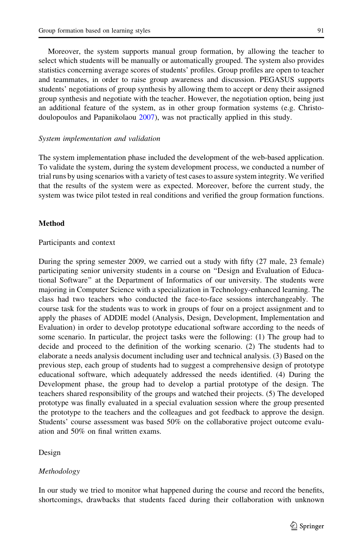Moreover, the system supports manual group formation, by allowing the teacher to select which students will be manually or automatically grouped. The system also provides statistics concerning average scores of students' profiles. Group profiles are open to teacher and teammates, in order to raise group awareness and discussion. PEGASUS supports students' negotiations of group synthesis by allowing them to accept or deny their assigned group synthesis and negotiate with the teacher. However, the negotiation option, being just an additional feature of the system, as in other group formation systems (e.g. Christodoulopoulos and Papanikolaou [2007](#page-24-0)), was not practically applied in this study.

#### System implementation and validation

The system implementation phase included the development of the web-based application. To validate the system, during the system development process, we conducted a number of trial runs by using scenarios with a variety of test cases to assure system integrity. We verified that the results of the system were as expected. Moreover, before the current study, the system was twice pilot tested in real conditions and verified the group formation functions.

### Method

#### Participants and context

During the spring semester 2009, we carried out a study with fifty (27 male, 23 female) participating senior university students in a course on ''Design and Evaluation of Educational Software'' at the Department of Informatics of our university. The students were majoring in Computer Science with a specialization in Technology-enhanced learning. The class had two teachers who conducted the face-to-face sessions interchangeably. The course task for the students was to work in groups of four on a project assignment and to apply the phases of ADDIE model (Analysis, Design, Development, Implementation and Evaluation) in order to develop prototype educational software according to the needs of some scenario. In particular, the project tasks were the following: (1) The group had to decide and proceed to the definition of the working scenario. (2) The students had to elaborate a needs analysis document including user and technical analysis. (3) Based on the previous step, each group of students had to suggest a comprehensive design of prototype educational software, which adequately addressed the needs identified. (4) During the Development phase, the group had to develop a partial prototype of the design. The teachers shared responsibility of the groups and watched their projects. (5) The developed prototype was finally evaluated in a special evaluation session where the group presented the prototype to the teachers and the colleagues and got feedback to approve the design. Students' course assessment was based 50% on the collaborative project outcome evaluation and 50% on final written exams.

Design

# Methodology

In our study we tried to monitor what happened during the course and record the benefits, shortcomings, drawbacks that students faced during their collaboration with unknown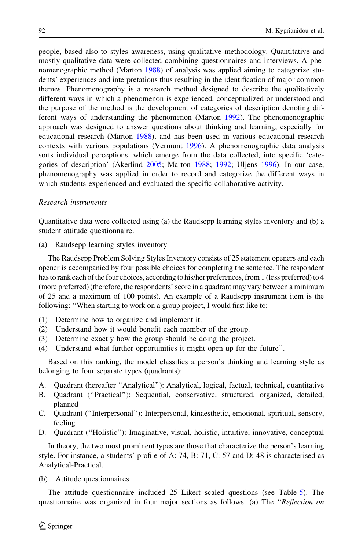<span id="page-9-0"></span>people, based also to styles awareness, using qualitative methodology. Quantitative and mostly qualitative data were collected combining questionnaires and interviews. A phenomenographic method (Marton [1988](#page-25-0)) of analysis was applied aiming to categorize students' experiences and interpretations thus resulting in the identification of major common themes. Phenomenography is a research method designed to describe the qualitatively different ways in which a phenomenon is experienced, conceptualized or understood and the purpose of the method is the development of categories of description denoting different ways of understanding the phenomenon (Marton [1992\)](#page-26-0). The phenomenographic approach was designed to answer questions about thinking and learning, especially for educational research (Marton [1988\)](#page-25-0), and has been used in various educational research contexts with various populations (Vermunt [1996](#page-26-0)). A phenomenographic data analysis sorts individual perceptions, which emerge from the data collected, into specific 'cate-gories of description' (Akerlind [2005](#page-24-0); Marton [1988](#page-25-0); [1992](#page-26-0); Uljens [1996\)](#page-26-0). In our case, phenomenography was applied in order to record and categorize the different ways in which students experienced and evaluated the specific collaborative activity.

# Research instruments

Quantitative data were collected using (a) the Raudsepp learning styles inventory and (b) a student attitude questionnaire.

(a) Raudsepp learning styles inventory

The Raudsepp Problem Solving Styles Inventory consists of 25 statement openers and each opener is accompanied by four possible choices for completing the sentence. The respondent has to rank each of the four choices, according to his/her preferences, from 1 (less preferred) to 4 (more preferred) (therefore, the respondents' score in a quadrant may vary between a minimum of 25 and a maximum of 100 points). An example of a Raudsepp instrument item is the following: ''When starting to work on a group project, I would first like to:

- (1) Determine how to organize and implement it.
- (2) Understand how it would benefit each member of the group.
- (3) Determine exactly how the group should be doing the project.
- (4) Understand what further opportunities it might open up for the future''.

Based on this ranking, the model classifies a person's thinking and learning style as belonging to four separate types (quadrants):

- A. Quadrant (hereafter ''Analytical''): Analytical, logical, factual, technical, quantitative
- B. Quadrant (''Practical''): Sequential, conservative, structured, organized, detailed, planned
- C. Quadrant (''Interpersonal''): Interpersonal, kinaesthetic, emotional, spiritual, sensory, feeling
- D. Quadrant (''Holistic''): Imaginative, visual, holistic, intuitive, innovative, conceptual

In theory, the two most prominent types are those that characterize the person's learning style. For instance, a students' profile of A: 74, B: 71, C: 57 and D: 48 is characterised as Analytical-Practical.

(b) Attitude questionnaires

The attitude questionnaire included 25 Likert scaled questions (see Table [5](#page-15-0)). The questionnaire was organized in four major sections as follows: (a) The "Reflection on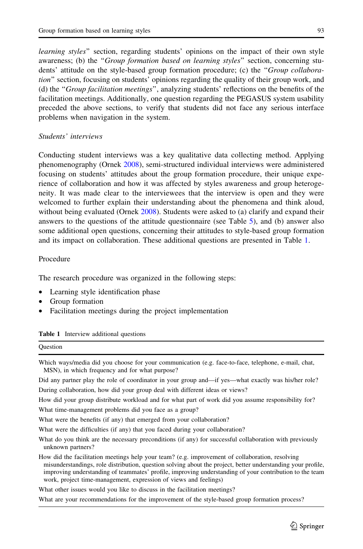learning styles" section, regarding students' opinions on the impact of their own style awareness; (b) the "Group formation based on learning styles" section, concerning students' attitude on the style-based group formation procedure; (c) the "Group collaboration" section, focusing on students' opinions regarding the quality of their group work, and (d) the ''Group facilitation meetings'', analyzing students' reflections on the benefits of the facilitation meetings. Additionally, one question regarding the PEGASUS system usability preceded the above sections, to verify that students did not face any serious interface problems when navigation in the system.

# Students' interviews

Conducting student interviews was a key qualitative data collecting method. Applying phenomenography (Ornek [2008\)](#page-26-0), semi-structured individual interviews were administered focusing on students' attitudes about the group formation procedure, their unique experience of collaboration and how it was affected by styles awareness and group heterogeneity. It was made clear to the interviewees that the interview is open and they were welcomed to further explain their understanding about the phenomena and think aloud, without being evaluated (Ornek [2008\)](#page-26-0). Students were asked to (a) clarify and expand their answers to the questions of the attitude questionnaire (see Table [5\)](#page-15-0), and (b) answer also some additional open questions, concerning their attitudes to style-based group formation and its impact on collaboration. These additional questions are presented in Table 1.

# Procedure

The research procedure was organized in the following steps:

- Learning style identification phase
- Group formation
- Facilitation meetings during the project implementation

|  | <b>Table 1</b> Interview additional questions |  |  |
|--|-----------------------------------------------|--|--|
|--|-----------------------------------------------|--|--|

| Question |
|----------|
|----------|

Which ways/media did you choose for your communication (e.g. face-to-face, telephone, e-mail, chat, MSN), in which frequency and for what purpose?

Did any partner play the role of coordinator in your group and—if yes—what exactly was his/her role? During collaboration, how did your group deal with different ideas or views?

How did your group distribute workload and for what part of work did you assume responsibility for? What time-management problems did you face as a group?

What were the benefits (if any) that emerged from your collaboration?

What were the difficulties (if any) that you faced during your collaboration?

What do you think are the necessary preconditions (if any) for successful collaboration with previously unknown partners?

How did the facilitation meetings help your team? (e.g. improvement of collaboration, resolving misunderstandings, role distribution, question solving about the project, better understanding your profile, improving understanding of teammates' profile, improving understanding of your contribution to the team work, project time-management, expression of views and feelings)

What other issues would you like to discuss in the facilitation meetings?

What are your recommendations for the improvement of the style-based group formation process?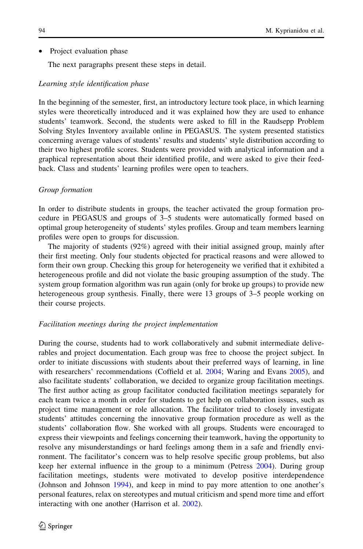• Project evaluation phase

The next paragraphs present these steps in detail.

#### Learning style identification phase

In the beginning of the semester, first, an introductory lecture took place, in which learning styles were theoretically introduced and it was explained how they are used to enhance students' teamwork. Second, the students were asked to fill in the Raudsepp Problem Solving Styles Inventory available online in PEGASUS. The system presented statistics concerning average values of students' results and students' style distribution according to their two highest profile scores. Students were provided with analytical information and a graphical representation about their identified profile, and were asked to give their feedback. Class and students' learning profiles were open to teachers.

#### Group formation

In order to distribute students in groups, the teacher activated the group formation procedure in PEGASUS and groups of 3–5 students were automatically formed based on optimal group heterogeneity of students' styles profiles. Group and team members learning profiles were open to groups for discussion.

The majority of students (92%) agreed with their initial assigned group, mainly after their first meeting. Only four students objected for practical reasons and were allowed to form their own group. Checking this group for heterogeneity we verified that it exhibited a heterogeneous profile and did not violate the basic grouping assumption of the study. The system group formation algorithm was run again (only for broke up groups) to provide new heterogeneous group synthesis. Finally, there were 13 groups of 3–5 people working on their course projects.

#### Facilitation meetings during the project implementation

During the course, students had to work collaboratively and submit intermediate deliverables and project documentation. Each group was free to choose the project subject. In order to initiate discussions with students about their preferred ways of learning, in line with researchers' recommendations (Coffield et al. [2004](#page-24-0); Waring and Evans [2005\)](#page-26-0), and also facilitate students' collaboration, we decided to organize group facilitation meetings. The first author acting as group facilitator conducted facilitation meetings separately for each team twice a month in order for students to get help on collaboration issues, such as project time management or role allocation. The facilitator tried to closely investigate students' attitudes concerning the innovative group formation procedure as well as the students' collaboration flow. She worked with all groups. Students were encouraged to express their viewpoints and feelings concerning their teamwork, having the opportunity to resolve any misunderstandings or hard feelings among them in a safe and friendly environment. The facilitator's concern was to help resolve specific group problems, but also keep her external influence in the group to a minimum (Petress [2004](#page-26-0)). During group facilitation meetings, students were motivated to develop positive interdependence (Johnson and Johnson [1994\)](#page-25-0), and keep in mind to pay more attention to one another's personal features, relax on stereotypes and mutual criticism and spend more time and effort interacting with one another (Harrison et al. [2002\)](#page-25-0).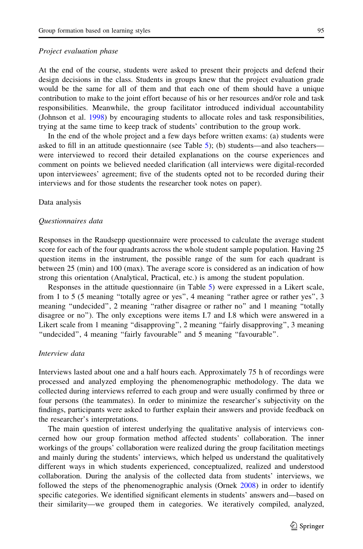#### Project evaluation phase

At the end of the course, students were asked to present their projects and defend their design decisions in the class. Students in groups knew that the project evaluation grade would be the same for all of them and that each one of them should have a unique contribution to make to the joint effort because of his or her resources and/or role and task responsibilities. Meanwhile, the group facilitator introduced individual accountability (Johnson et al. [1998](#page-25-0)) by encouraging students to allocate roles and task responsibilities, trying at the same time to keep track of students' contribution to the group work.

In the end of the whole project and a few days before written exams: (a) students were asked to fill in an attitude questionnaire (see Table [5\)](#page-15-0); (b) students—and also teachers were interviewed to record their detailed explanations on the course experiences and comment on points we believed needed clarification (all interviews were digital-recorded upon interviewees' agreement; five of the students opted not to be recorded during their interviews and for those students the researcher took notes on paper).

#### Data analysis

#### Questionnaires data

Responses in the Raudsepp questionnaire were processed to calculate the average student score for each of the four quadrants across the whole student sample population. Having 25 question items in the instrument, the possible range of the sum for each quadrant is between 25 (min) and 100 (max). The average score is considered as an indication of how strong this orientation (Analytical, Practical, etc.) is among the student population.

Responses in the attitude questionnaire (in Table [5](#page-15-0)) were expressed in a Likert scale, from 1 to 5 (5 meaning ''totally agree or yes'', 4 meaning ''rather agree or rather yes'', 3 meaning "undecided", 2 meaning "rather disagree or rather no" and 1 meaning "totally disagree or no''). The only exceptions were items I.7 and I.8 which were answered in a Likert scale from 1 meaning "disapproving", 2 meaning "fairly disapproving", 3 meaning ''undecided'', 4 meaning ''fairly favourable'' and 5 meaning ''favourable''.

# Interview data

Interviews lasted about one and a half hours each. Approximately 75 h of recordings were processed and analyzed employing the phenomenographic methodology. The data we collected during interviews referred to each group and were usually confirmed by three or four persons (the teammates). In order to minimize the researcher's subjectivity on the findings, participants were asked to further explain their answers and provide feedback on the researcher's interpretations.

The main question of interest underlying the qualitative analysis of interviews concerned how our group formation method affected students' collaboration. The inner workings of the groups' collaboration were realized during the group facilitation meetings and mainly during the students' interviews, which helped us understand the qualitatively different ways in which students experienced, conceptualized, realized and understood collaboration. During the analysis of the collected data from students' interviews, we followed the steps of the phenomenographic analysis (Ornek [2008\)](#page-26-0) in order to identify specific categories. We identified significant elements in students' answers and—based on their similarity—we grouped them in categories. We iteratively compiled, analyzed,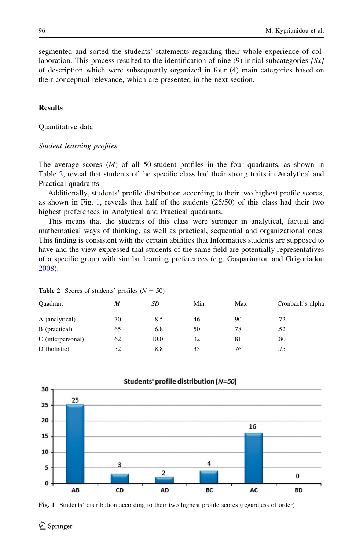<span id="page-13-0"></span>segmented and sorted the students' statements regarding their whole experience of collaboration. This process resulted to the identification of nine (9) initial subcategories  $[Sx]$ of description which were subsequently organized in four (4) main categories based on their conceptual relevance, which are presented in the next section.

# Results

### Quantitative data

#### Student learning profiles

The average scores  $(M)$  of all 50-student profiles in the four quadrants, as shown in Table 2, reveal that students of the specific class had their strong traits in Analytical and Practical quadrants.

Additionally, students' profile distribution according to their two highest profile scores, as shown in Fig. 1, reveals that half of the students (25/50) of this class had their two highest preferences in Analytical and Practical quadrants.

This means that the students of this class were stronger in analytical, factual and mathematical ways of thinking, as well as practical, sequential and organizational ones. This finding is consistent with the certain abilities that Informatics students are supposed to have and the view expressed that students of the same field are potentially representatives of a specific group with similar learning preferences (e.g. Gasparinatou and Grigoriadou [2008\)](#page-24-0).

| Quadrant          | M  | SD   | Min | Max | Cronbach's alpha |  |  |
|-------------------|----|------|-----|-----|------------------|--|--|
| A (analytical)    | 70 | 8.5  | 46  | 90  | .72              |  |  |
| B (practical)     | 65 | 6.8  | 50  | 78  | .52              |  |  |
| C (interpersonal) | 62 | 10.0 | 32  | 81  | .80              |  |  |
| D (holistic)      | 52 | 8.8  | 35  | 76  | .75              |  |  |

**Table 2** Scores of students' profiles  $(N = 50)$ 



Fig. 1 Students' distribution according to their two highest profile scores (regardless of order)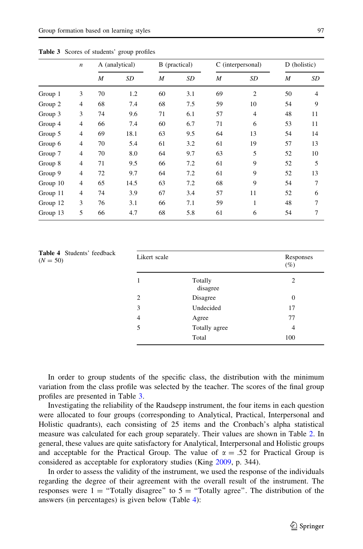| <b>Table 3</b> Scores of students' group profiles |                  |                |      |    |               |    |                   |    |              |  |
|---------------------------------------------------|------------------|----------------|------|----|---------------|----|-------------------|----|--------------|--|
|                                                   | $\boldsymbol{n}$ | A (analytical) |      |    | B (practical) |    | C (interpersonal) |    | D (holistic) |  |
|                                                   |                  | M              | SD   | M  | SD            | M  | SD                | M  | SD           |  |
| Group 1                                           | 3                | 70             | 1.2  | 60 | 3.1           | 69 | $\overline{c}$    | 50 | 4            |  |
| Group 2                                           | 4                | 68             | 7.4  | 68 | 7.5           | 59 | 10                | 54 | 9            |  |
| Group 3                                           | 3                | 74             | 9.6  | 71 | 6.1           | 57 | $\overline{4}$    | 48 | 11           |  |
| Group 4                                           | 4                | 66             | 7.4  | 60 | 6.7           | 71 | 6                 | 53 | 11           |  |
| Group 5                                           | 4                | 69             | 18.1 | 63 | 9.5           | 64 | 13                | 54 | 14           |  |
|                                                   |                  |                |      |    |               |    |                   |    |              |  |

3 Undecided 17 4 Agree 77 5 Totally agree 4

Total 100

Table 3 Scores of s

|                                          |                |    | $\overline{2}$ |    | Disagree | disagree            |    | $\mathbf{0}$   |    |
|------------------------------------------|----------------|----|----------------|----|----------|---------------------|----|----------------|----|
|                                          |                |    | 1              |    | Totally  |                     |    | $\overline{c}$ |    |
| Table 4 Students' feedback<br>$(N = 50)$ |                |    | Likert scale   |    |          | Responses<br>$(\%)$ |    |                |    |
|                                          |                |    |                |    |          |                     |    |                |    |
| Group 13                                 | 5              | 66 | 4.7            | 68 | 5.8      | 61                  | 6  | 54             | 7  |
| Group 12                                 | 3              | 76 | 3.1            | 66 | 7.1      | 59                  | 1  | 48             | 7  |
| Group 11                                 | 4              | 74 | 3.9            | 67 | 3.4      | 57                  | 11 | 52             | 6  |
| Group 10                                 | 4              | 65 | 14.5           | 63 | 7.2      | 68                  | 9  | 54             | 7  |
| Group 9                                  | $\overline{4}$ | 72 | 9.7            | 64 | 7.2      | 61                  | 9  | 52             | 13 |
| Group 8                                  | 4              | 71 | 9.5            | 66 | 7.2      | 61                  | 9  | 52             | 5  |
| Group 7                                  | 4              | 70 | 8.0            | 64 | 9.7      | 63                  | 5  | 52             | 10 |
| Group 6                                  | 4              | 70 | 5.4            | 61 | 3.2      | 61                  | 19 | 57             | 13 |

In order to group students of the specific class, the distribution with the minimum variation from the class profile was selected by the teacher. The scores of the final group profiles are presented in Table 3.

Investigating the reliability of the Raudsepp instrument, the four items in each question were allocated to four groups (corresponding to Analytical, Practical, Interpersonal and Holistic quadrants), each consisting of 25 items and the Cronbach's alpha statistical measure was calculated for each group separately. Their values are shown in Table [2](#page-13-0). In general, these values are quite satisfactory for Analytical, Interpersonal and Holistic groups and acceptable for the Practical Group. The value of  $\alpha = .52$  for Practical Group is considered as acceptable for exploratory studies (King [2009](#page-25-0), p. 344).

In order to assess the validity of the instrument, we used the response of the individuals regarding the degree of their agreement with the overall result of the instrument. The responses were  $1 =$  "Totally disagree" to  $5 =$  "Totally agree". The distribution of the answers (in percentages) is given below (Table 4):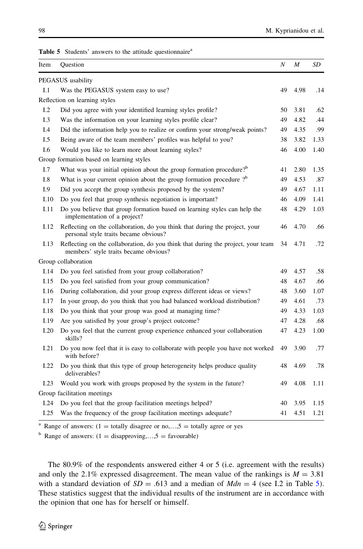<span id="page-15-0"></span>

|  |  |  |  |  |  | Table 5 Students' answers to the attitude questionnaire <sup>a</sup> |
|--|--|--|--|--|--|----------------------------------------------------------------------|
|--|--|--|--|--|--|----------------------------------------------------------------------|

| Item | Ouestion                                                                                                                  | N  | M    | SD   |
|------|---------------------------------------------------------------------------------------------------------------------------|----|------|------|
|      | PEGASUS usability                                                                                                         |    |      |      |
| I.1  | Was the PEGASUS system easy to use?                                                                                       | 49 | 4.98 | .14  |
|      | Reflection on learning styles                                                                                             |    |      |      |
| 1.2  | Did you agree with your identified learning styles profile?                                                               | 50 | 3.81 | .62  |
| I.3  | Was the information on your learning styles profile clear?                                                                | 49 | 4.82 | .44  |
| I.4  | Did the information help you to realize or confirm your strong/weak points?                                               | 49 | 4.35 | .99  |
| I.5  | Being aware of the team members' profiles was helpful to you?                                                             | 38 | 3.82 | 1.33 |
| I.6  | Would you like to learn more about learning styles?                                                                       | 46 | 4.00 | 1.40 |
|      | Group formation based on learning styles                                                                                  |    |      |      |
| I.7  | What was your initial opinion about the group formation procedure? <sup>b</sup>                                           | 41 | 2.80 | 1.35 |
| I.8  | What is your current opinion about the group formation procedure $?$ <sup>b</sup>                                         | 49 | 4.53 | .87  |
| I.9  | Did you accept the group synthesis proposed by the system?                                                                | 49 | 4.67 | 1.11 |
| I.10 | Do you feel that group synthesis negotiation is important?                                                                | 46 | 4.09 | 1.41 |
| I.11 | Do you believe that group formation based on learning styles can help the<br>implementation of a project?                 | 48 | 4.29 | 1.03 |
| I.12 | Reflecting on the collaboration, do you think that during the project, your<br>personal style traits became obvious?      | 46 | 4.70 | .66  |
| I.13 | Reflecting on the collaboration, do you think that during the project, your team<br>members' style traits became obvious? | 34 | 4.71 | .72  |
|      | Group collaboration                                                                                                       |    |      |      |
| I.14 | Do you feel satisfied from your group collaboration?                                                                      | 49 | 4.57 | .58  |
| 1.15 | Do you feel satisfied from your group communication?                                                                      | 48 | 4.67 | .66  |
| I.16 | During collaboration, did your group express different ideas or views?                                                    | 48 | 3.60 | 1.07 |
| 1.17 | In your group, do you think that you had balanced workload distribution?                                                  | 49 | 4.61 | .73  |
| I.18 | Do you think that your group was good at managing time?                                                                   | 49 | 4.33 | 1.03 |
| I.19 | Are you satisfied by your group's project outcome?                                                                        | 47 | 4.28 | .68  |
| I.20 | Do you feel that the current group experience enhanced your collaboration<br>skills?                                      | 47 | 4.23 | 1.00 |
| 1.21 | Do you now feel that it is easy to collaborate with people you have not worked<br>with before?                            | 49 | 3.90 | .77  |
| I.22 | Do you think that this type of group heterogeneity helps produce quality<br>deliverables?                                 | 48 | 4.69 | .78  |
| 1.23 | Would you work with groups proposed by the system in the future?                                                          | 49 | 4.08 | 1.11 |
|      | Group facilitation meetings                                                                                               |    |      |      |
| I.24 | Do you feel that the group facilitation meetings helped?                                                                  | 40 | 3.95 | 1.15 |
| 1.25 | Was the frequency of the group facilitation meetings adequate?                                                            | 41 | 4.51 | 1.21 |

<sup>a</sup> Range of answers: (1 = totally disagree or no,..., 5 = totally agree or yes

<sup>b</sup> Range of answers: (1 = disapproving,..., 5 = favourable)

The 80.9% of the respondents answered either 4 or 5 (i.e. agreement with the results) and only the 2.1% expressed disagreement. The mean value of the rankings is  $M = 3.81$ with a standard deviation of  $SD = .613$  and a median of  $Mdn = 4$  (see I.2 in Table 5). These statistics suggest that the individual results of the instrument are in accordance with the opinion that one has for herself or himself.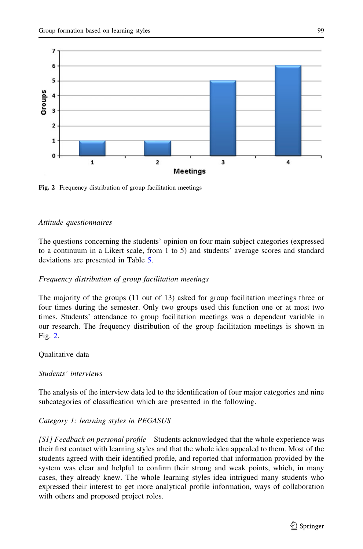<span id="page-16-0"></span>

Fig. 2 Frequency distribution of group facilitation meetings

# Attitude questionnaires

The questions concerning the students' opinion on four main subject categories (expressed to a continuum in a Likert scale, from 1 to 5) and students' average scores and standard deviations are presented in Table [5](#page-15-0).

# Frequency distribution of group facilitation meetings

The majority of the groups (11 out of 13) asked for group facilitation meetings three or four times during the semester. Only two groups used this function one or at most two times. Students' attendance to group facilitation meetings was a dependent variable in our research. The frequency distribution of the group facilitation meetings is shown in Fig. 2.

# Qualitative data

# Students' interviews

The analysis of the interview data led to the identification of four major categories and nine subcategories of classification which are presented in the following.

# Category 1: learning styles in PEGASUS

[S1] Feedback on personal profile Students acknowledged that the whole experience was their first contact with learning styles and that the whole idea appealed to them. Most of the students agreed with their identified profile, and reported that information provided by the system was clear and helpful to confirm their strong and weak points, which, in many cases, they already knew. The whole learning styles idea intrigued many students who expressed their interest to get more analytical profile information, ways of collaboration with others and proposed project roles.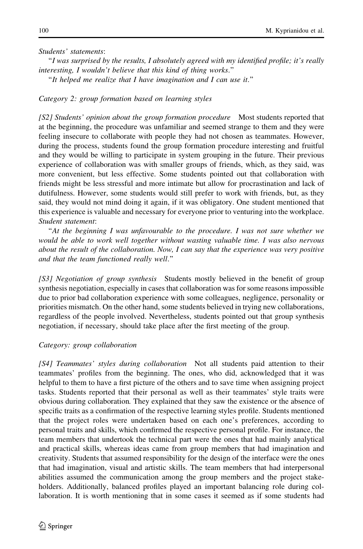Students' statements:

"I was surprised by the results, I absolutely agreed with my identified profile; it's really interesting, I wouldn't believe that this kind of thing works.''

''It helped me realize that I have imagination and I can use it.''

Category 2: group formation based on learning styles

[S2] Students' opinion about the group formation procedure Most students reported that at the beginning, the procedure was unfamiliar and seemed strange to them and they were feeling insecure to collaborate with people they had not chosen as teammates. However, during the process, students found the group formation procedure interesting and fruitful and they would be willing to participate in system grouping in the future. Their previous experience of collaboration was with smaller groups of friends, which, as they said, was more convenient, but less effective. Some students pointed out that collaboration with friends might be less stressful and more intimate but allow for procrastination and lack of dutifulness. However, some students would still prefer to work with friends, but, as they said, they would not mind doing it again, if it was obligatory. One student mentioned that this experience is valuable and necessary for everyone prior to venturing into the workplace. Student statement:

''At the beginning I was unfavourable to the procedure. I was not sure whether we would be able to work well together without wasting valuable time. I was also nervous about the result of the collaboration. Now, I can say that the experience was very positive and that the team functioned really well.''

[S3] Negotiation of group synthesis Students mostly believed in the benefit of group synthesis negotiation, especially in cases that collaboration was for some reasons impossible due to prior bad collaboration experience with some colleagues, negligence, personality or priorities mismatch. On the other hand, some students believed in trying new collaborations, regardless of the people involved. Nevertheless, students pointed out that group synthesis negotiation, if necessary, should take place after the first meeting of the group.

# Category: group collaboration

[S4] Teammates' styles during collaboration Not all students paid attention to their teammates' profiles from the beginning. The ones, who did, acknowledged that it was helpful to them to have a first picture of the others and to save time when assigning project tasks. Students reported that their personal as well as their teammates' style traits were obvious during collaboration. They explained that they saw the existence or the absence of specific traits as a confirmation of the respective learning styles profile. Students mentioned that the project roles were undertaken based on each one's preferences, according to personal traits and skills, which confirmed the respective personal profile. For instance, the team members that undertook the technical part were the ones that had mainly analytical and practical skills, whereas ideas came from group members that had imagination and creativity. Students that assumed responsibility for the design of the interface were the ones that had imagination, visual and artistic skills. The team members that had interpersonal abilities assumed the communication among the group members and the project stakeholders. Additionally, balanced profiles played an important balancing role during collaboration. It is worth mentioning that in some cases it seemed as if some students had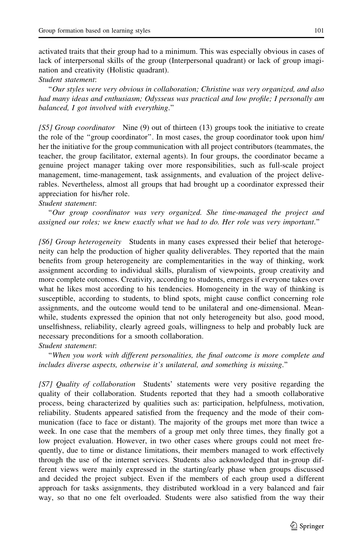activated traits that their group had to a minimum. This was especially obvious in cases of lack of interpersonal skills of the group (Interpersonal quadrant) or lack of group imagination and creativity (Holistic quadrant).

Student statement:

''Our styles were very obvious in collaboration; Christine was very organized, and also had many ideas and enthusiasm; Odysseus was practical and low profile; I personally am balanced, I got involved with everything.''

[S5] Group coordinator Nine (9) out of thirteen (13) groups took the initiative to create the role of the ''group coordinator''. In most cases, the group coordinator took upon him/ her the initiative for the group communication with all project contributors (teammates, the teacher, the group facilitator, external agents). In four groups, the coordinator became a genuine project manager taking over more responsibilities, such as full-scale project management, time-management, task assignments, and evaluation of the project deliverables. Nevertheless, almost all groups that had brought up a coordinator expressed their appreciation for his/her role.

Student statement:

''Our group coordinator was very organized. She time-managed the project and assigned our roles; we knew exactly what we had to do. Her role was very important.''

[S6] Group heterogeneity Students in many cases expressed their belief that heterogeneity can help the production of higher quality deliverables. They reported that the main benefits from group heterogeneity are complementarities in the way of thinking, work assignment according to individual skills, pluralism of viewpoints, group creativity and more complete outcomes. Creativity, according to students, emerges if everyone takes over what he likes most according to his tendencies. Homogeneity in the way of thinking is susceptible, according to students, to blind spots, might cause conflict concerning role assignments, and the outcome would tend to be unilateral and one-dimensional. Meanwhile, students expressed the opinion that not only heterogeneity but also, good mood, unselfishness, reliability, clearly agreed goals, willingness to help and probably luck are necessary preconditions for a smooth collaboration.

Student statement:

''When you work with different personalities, the final outcome is more complete and includes diverse aspects, otherwise it's unilateral, and something is missing.''

[S7] Quality of collaboration Students' statements were very positive regarding the quality of their collaboration. Students reported that they had a smooth collaborative process, being characterized by qualities such as: participation, helpfulness, motivation, reliability. Students appeared satisfied from the frequency and the mode of their communication (face to face or distant). The majority of the groups met more than twice a week. In one case that the members of a group met only three times, they finally got a low project evaluation. However, in two other cases where groups could not meet frequently, due to time or distance limitations, their members managed to work effectively through the use of the internet services. Students also acknowledged that in-group different views were mainly expressed in the starting/early phase when groups discussed and decided the project subject. Even if the members of each group used a different approach for tasks assignments, they distributed workload in a very balanced and fair way, so that no one felt overloaded. Students were also satisfied from the way their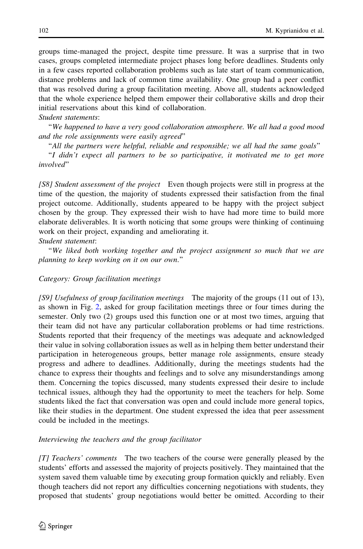groups time-managed the project, despite time pressure. It was a surprise that in two cases, groups completed intermediate project phases long before deadlines. Students only in a few cases reported collaboration problems such as late start of team communication, distance problems and lack of common time availability. One group had a peer conflict that was resolved during a group facilitation meeting. Above all, students acknowledged that the whole experience helped them empower their collaborative skills and drop their initial reservations about this kind of collaboration.

Student statements:

''We happened to have a very good collaboration atmosphere. We all had a good mood and the role assignments were easily agreed''

''All the partners were helpful, reliable and responsible; we all had the same goals''

''I didn't expect all partners to be so participative, it motivated me to get more involved''

[S8] Student assessment of the project Even though projects were still in progress at the time of the question, the majority of students expressed their satisfaction from the final project outcome. Additionally, students appeared to be happy with the project subject chosen by the group. They expressed their wish to have had more time to build more elaborate deliverables. It is worth noticing that some groups were thinking of continuing work on their project, expanding and ameliorating it.

Student statement:

''We liked both working together and the project assignment so much that we are planning to keep working on it on our own.''

# Category: Group facilitation meetings

[S9] Usefulness of group facilitation meetings The majority of the groups (11 out of 13), as shown in Fig. [2](#page-16-0), asked for group facilitation meetings three or four times during the semester. Only two (2) groups used this function one or at most two times, arguing that their team did not have any particular collaboration problems or had time restrictions. Students reported that their frequency of the meetings was adequate and acknowledged their value in solving collaboration issues as well as in helping them better understand their participation in heterogeneous groups, better manage role assignments, ensure steady progress and adhere to deadlines. Additionally, during the meetings students had the chance to express their thoughts and feelings and to solve any misunderstandings among them. Concerning the topics discussed, many students expressed their desire to include technical issues, although they had the opportunity to meet the teachers for help. Some students liked the fact that conversation was open and could include more general topics, like their studies in the department. One student expressed the idea that peer assessment could be included in the meetings.

# Interviewing the teachers and the group facilitator

[T] Teachers' comments The two teachers of the course were generally pleased by the students' efforts and assessed the majority of projects positively. They maintained that the system saved them valuable time by executing group formation quickly and reliably. Even though teachers did not report any difficulties concerning negotiations with students, they proposed that students' group negotiations would better be omitted. According to their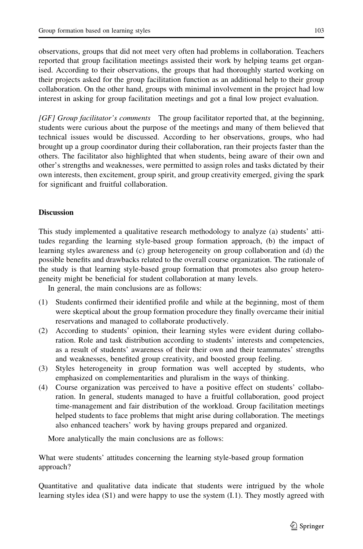observations, groups that did not meet very often had problems in collaboration. Teachers reported that group facilitation meetings assisted their work by helping teams get organised. According to their observations, the groups that had thoroughly started working on their projects asked for the group facilitation function as an additional help to their group collaboration. On the other hand, groups with minimal involvement in the project had low interest in asking for group facilitation meetings and got a final low project evaluation.

 $[GF]$  Group facilitator's comments The group facilitator reported that, at the beginning, students were curious about the purpose of the meetings and many of them believed that technical issues would be discussed. According to her observations, groups, who had brought up a group coordinator during their collaboration, ran their projects faster than the others. The facilitator also highlighted that when students, being aware of their own and other's strengths and weaknesses, were permitted to assign roles and tasks dictated by their own interests, then excitement, group spirit, and group creativity emerged, giving the spark for significant and fruitful collaboration.

# **Discussion**

This study implemented a qualitative research methodology to analyze (a) students' attitudes regarding the learning style-based group formation approach, (b) the impact of learning styles awareness and (c) group heterogeneity on group collaboration and (d) the possible benefits and drawbacks related to the overall course organization. The rationale of the study is that learning style-based group formation that promotes also group heterogeneity might be beneficial for student collaboration at many levels.

In general, the main conclusions are as follows:

- (1) Students confirmed their identified profile and while at the beginning, most of them were skeptical about the group formation procedure they finally overcame their initial reservations and managed to collaborate productively.
- (2) According to students' opinion, their learning styles were evident during collaboration. Role and task distribution according to students' interests and competencies, as a result of students' awareness of their their own and their teammates' strengths and weaknesses, benefited group creativity, and boosted group feeling.
- (3) Styles heterogeneity in group formation was well accepted by students, who emphasized on complementarities and pluralism in the ways of thinking.
- (4) Course organization was perceived to have a positive effect on students' collaboration. In general, students managed to have a fruitful collaboration, good project time-management and fair distribution of the workload. Group facilitation meetings helped students to face problems that might arise during collaboration. The meetings also enhanced teachers' work by having groups prepared and organized.

More analytically the main conclusions are as follows:

What were students' attitudes concerning the learning style-based group formation approach?

Quantitative and qualitative data indicate that students were intrigued by the whole learning styles idea (S1) and were happy to use the system (I.1). They mostly agreed with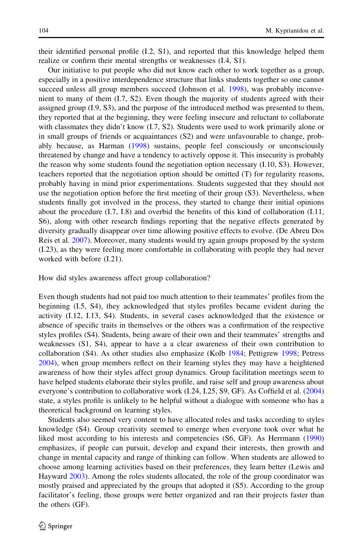their identified personal profile (I.2, S1), and reported that this knowledge helped them realize or confirm their mental strengths or weaknesses (I.4, S1).

Our initiative to put people who did not know each other to work together as a group, especially in a positive interdependence structure that links students together so one cannot succeed unless all group members succeed (Johnson et al. [1998\)](#page-25-0), was probably inconvenient to many of them (I.7, S2). Even though the majority of students agreed with their assigned group (I.9, S3), and the purpose of the introduced method was presented to them, they reported that at the beginning, they were feeling insecure and reluctant to collaborate with classmates they didn't know (I.7, S2). Students were used to work primarily alone or in small groups of friends or acquaintances (S2) and were unfavourable to change, probably because, as Harman ([1998\)](#page-25-0) sustains, people feel consciously or unconsciously threatened by change and have a tendency to actively oppose it. This insecurity is probably the reason why some students found the negotiation option necessary (I.10, S3). However, teachers reported that the negotiation option should be omitted (T) for regularity reasons, probably having in mind prior experimentations. Students suggested that they should not use the negotiation option before the first meeting of their group (S3). Nevertheless, when students finally got involved in the process, they started to change their initial opinions about the procedure (I.7, I.8) and overbid the benefits of this kind of collaboration (I.11, S6), along with other research findings reporting that the negative effects generated by diversity gradually disappear over time allowing positive effects to evolve. (De Abreu Dos Reis et al. [2007\)](#page-24-0). Moreover, many students would try again groups proposed by the system (I.23), as they were feeling more comfortable in collaborating with people they had never worked with before (I.21).

How did styles awareness affect group collaboration?

Even though students had not paid too much attention to their teammates' profiles from the beginning (I.5, S4), they acknowledged that styles profiles became evident during the activity (I.12, I.13, S4). Students, in several cases acknowledged that the existence or absence of specific traits in themselves or the others was a confirmation of the respective styles profiles (S4). Students, being aware of their own and their teammates' strengths and weaknesses (S1, S4), appear to have a a clear awareness of their own contribution to collaboration (S4). As other studies also emphasize (Kolb [1984](#page-25-0); Pettigrew [1998;](#page-26-0) Petress [2004\)](#page-26-0), when group members reflect on their learning styles they may have a heightened awareness of how their styles affect group dynamics. Group facilitation meetings seem to have helped students elaborate their styles profile, and raise self and group awareness about everyone's contribution to collaborative work (I.24, I.25, S9, GF). As Coffield et al. ([2004](#page-24-0)) state, a styles profile is unlikely to be helpful without a dialogue with someone who has a theoretical background on learning styles.

Students also seemed very content to have allocated roles and tasks according to styles knowledge (S4). Group creativity seemed to emerge when everyone took over what he liked most according to his interests and competencies (S6, GF). As Herrmann ([1990](#page-25-0)) emphasizes, if people can pursuit, develop and expand their interests, then growth and change in mental capacity and range of thinking can follow. When students are allowed to choose among learning activities based on their preferences, they learn better (Lewis and Hayward [2003](#page-25-0)). Among the roles students allocated, the role of the group coordinator was mostly praised and appreciated by the groups that adopted it (S5). According to the group facilitator's feeling, those groups were better organized and ran their projects faster than the others (GF).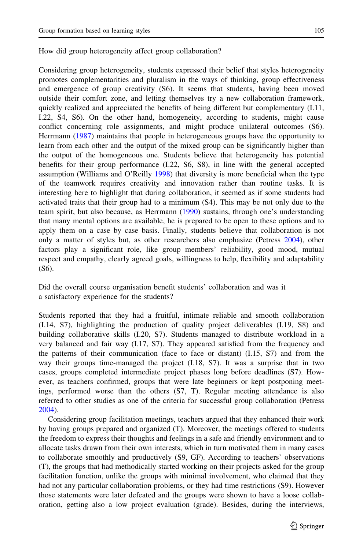How did group heterogeneity affect group collaboration?

Considering group heterogeneity, students expressed their belief that styles heterogeneity promotes complementarities and pluralism in the ways of thinking, group effectiveness and emergence of group creativity (S6). It seems that students, having been moved outside their comfort zone, and letting themselves try a new collaboration framework, quickly realized and appreciated the benefits of being different but complementary (I.11, I.22, S4, S6). On the other hand, homogeneity, according to students, might cause conflict concerning role assignments, and might produce unilateral outcomes (S6). Herrmann ([1987\)](#page-25-0) maintains that people in heterogeneous groups have the opportunity to learn from each other and the output of the mixed group can be significantly higher than the output of the homogeneous one. Students believe that heterogeneity has potential benefits for their group performance (I.22, S6, S8), in line with the general accepted assumption (Williams and O'Reilly [1998](#page-26-0)) that diversity is more beneficial when the type of the teamwork requires creativity and innovation rather than routine tasks. It is interesting here to highlight that during collaboration, it seemed as if some students had activated traits that their group had to a minimum (S4). This may be not only due to the team spirit, but also because, as Herrmann ([1990\)](#page-25-0) sustains, through one's understanding that many mental options are available, he is prepared to be open to these options and to apply them on a case by case basis. Finally, students believe that collaboration is not only a matter of styles but, as other researchers also emphasize (Petress [2004](#page-26-0)), other factors play a significant role, like group members' reliability, good mood, mutual respect and empathy, clearly agreed goals, willingness to help, flexibility and adaptability (S6).

Did the overall course organisation benefit students' collaboration and was it a satisfactory experience for the students?

Students reported that they had a fruitful, intimate reliable and smooth collaboration (I.14, S7), highlighting the production of quality project deliverables (I.19, S8) and building collaborative skills (I.20, S7). Students managed to distribute workload in a very balanced and fair way (I.17, S7). They appeared satisfied from the frequency and the patterns of their communication (face to face or distant) (I.15, S7) and from the way their groups time-managed the project (I.18, S7). It was a surprise that in two cases, groups completed intermediate project phases long before deadlines (S7). However, as teachers confirmed, groups that were late beginners or kept postponing meetings, performed worse than the others (S7, T). Regular meeting attendance is also referred to other studies as one of the criteria for successful group collaboration (Petress [2004\)](#page-26-0).

Considering group facilitation meetings, teachers argued that they enhanced their work by having groups prepared and organized (T). Moreover, the meetings offered to students the freedom to express their thoughts and feelings in a safe and friendly environment and to allocate tasks drawn from their own interests, which in turn motivated them in many cases to collaborate smoothly and productively (S9, GF). According to teachers' observations (T), the groups that had methodically started working on their projects asked for the group facilitation function, unlike the groups with minimal involvement, who claimed that they had not any particular collaboration problems, or they had time restrictions (S9). However those statements were later defeated and the groups were shown to have a loose collaboration, getting also a low project evaluation (grade). Besides, during the interviews,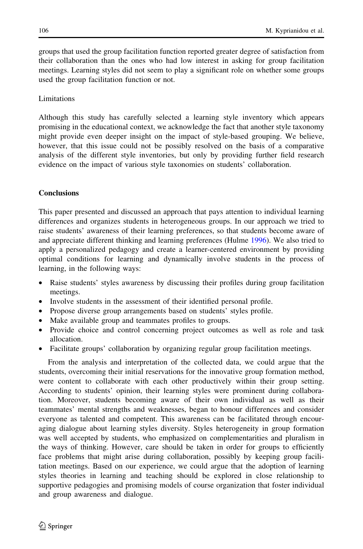groups that used the group facilitation function reported greater degree of satisfaction from their collaboration than the ones who had low interest in asking for group facilitation meetings. Learning styles did not seem to play a significant role on whether some groups used the group facilitation function or not.

# Limitations

Although this study has carefully selected a learning style inventory which appears promising in the educational context, we acknowledge the fact that another style taxonomy might provide even deeper insight on the impact of style-based grouping. We believe, however, that this issue could not be possibly resolved on the basis of a comparative analysis of the different style inventories, but only by providing further field research evidence on the impact of various style taxonomies on students' collaboration.

# Conclusions

This paper presented and discussed an approach that pays attention to individual learning differences and organizes students in heterogeneous groups. In our approach we tried to raise students' awareness of their learning preferences, so that students become aware of and appreciate different thinking and learning preferences (Hulme [1996\)](#page-25-0). We also tried to apply a personalized pedagogy and create a learner-centered environment by providing optimal conditions for learning and dynamically involve students in the process of learning, in the following ways:

- Raise students' styles awareness by discussing their profiles during group facilitation meetings.
- Involve students in the assessment of their identified personal profile.
- Propose diverse group arrangements based on students' styles profile.
- Make available group and teammates profiles to groups.
- Provide choice and control concerning project outcomes as well as role and task allocation.
- Facilitate groups' collaboration by organizing regular group facilitation meetings.

From the analysis and interpretation of the collected data, we could argue that the students, overcoming their initial reservations for the innovative group formation method, were content to collaborate with each other productively within their group setting. According to students' opinion, their learning styles were prominent during collaboration. Moreover, students becoming aware of their own individual as well as their teammates' mental strengths and weaknesses, began to honour differences and consider everyone as talented and competent. This awareness can be facilitated through encouraging dialogue about learning styles diversity. Styles heterogeneity in group formation was well accepted by students, who emphasized on complementarities and pluralism in the ways of thinking. However, care should be taken in order for groups to efficiently face problems that might arise during collaboration, possibly by keeping group facilitation meetings. Based on our experience, we could argue that the adoption of learning styles theories in learning and teaching should be explored in close relationship to supportive pedagogies and promising models of course organization that foster individual and group awareness and dialogue.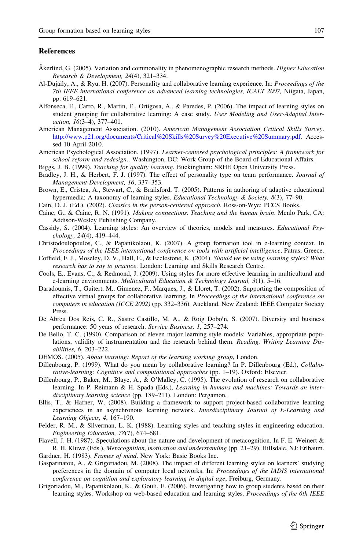#### <span id="page-24-0"></span>**References**

- Åkerlind, G. (2005). Variation and commonality in phenomenographic research methods. *Higher Education* Research & Development, 24(4), 321–334.
- Al-Dujaily, A., & Ryu, H. (2007). Personality and collaborative learning experience. In: *Proceedings of the* 7th IEEE international conference on advanced learning technologies, ICALT 2007, Niigata, Japan, pp. 619–621.
- Alfonseca, E., Carro, R., Martin, E., Ortigosa, A., & Paredes, P. (2006). The impact of learning styles on student grouping for collaborative learning: A case study. User Modeling and User-Adapted Interaction, 16(3–4), 377–401.
- American Management Association. (2010). American Management Association Critical Skills Survey. [http://www.p21.org/documents/Critical%20Skills%20Survey%20Executive%20Summary.pdf.](http://www.p21.org/documents/Critical%20Skills%20Survey%20Executive%20Summary.pdf) Accessed 10 April 2010.
- American Psychological Association. (1997). Learner-centered psychological principles: A framework for school reform and redesign.. Washington, DC: Work Group of the Board of Educational Affairs.
- Biggs, J. B. (1999). Teaching for quality learning. Buckingham: SRHE Open University Press.
- Bradley, J. H., & Herbert, F. J. (1997). The effect of personality type on team performance. Journal of Management Development, 16, 337–353.
- Brown, E., Cristea, A., Stewart, C., & Brailsford, T. (2005). Patterns in authoring of adaptive educational hypermedia: A taxonomy of learning styles. Educational Technology & Society, 8(3), 77–90.
- Cain, D. J. (Ed.). (2002). Classics in the person-centered approach. Ross-on-Wye: PCCS Books.
- Caine, G., & Caine, R. N. (1991). Making connections. Teaching and the human brain. Menlo Park, CA: Addison-Wesley Publishing Company.
- Cassidy, S. (2004). Learning styles: An overview of theories, models and measures. Educational Psychology, 24(4), 419–444.
- Christodoulopoulos, C., & Papanikolaou, K. (2007). A group formation tool in e-learning context. In Proceedings of the IEEE international conference on tools with artificial intelligence, Patras, Greece.
- Coffield, F. J., Moseley, D. V., Hall, E., & Ecclestone, K. (2004). Should we be using learning styles? What research has to say to practice. London: Learning and Skills Research Centre.
- Cools, E., Evans, C., & Redmond, J. (2009). Using styles for more effective learning in multicultural and e-learning environments. Multicultural Education & Technology Journal, 3(1), 5–16.
- Daradoumis, T., Guitert, M., Gimenez, F., Marques, J., & Lloret, T. (2002). Supporting the composition of effective virtual groups for collaborative learning. In Proceedings of the international conference on computers in education (ICCE 2002) (pp. 332–336). Auckland, New Zealand: IEEE Computer Society Press.
- De Abreu Dos Reis, C. R., Sastre Castillo, M. A., & Roig Dobo'n, S. (2007). Diversity and business performance: 50 years of research. Service Business, 1, 257–274.
- De Bello, T. C. (1990). Comparison of eleven major learning style models: Variables, appropriate populations, validity of instrumentation and the research behind them. Reading, Writing Learning Disabilities, 6, 203–222.
- DEMOS. (2005). About learning: Report of the learning working group, London.
- Dillenbourg, P. (1999). What do you mean by collaborative learning? In P. Dillenbourg (Ed.), Collaborative-learning: Cognitive and computational approaches (pp. 1–19). Oxford: Elsevier.
- Dillenbourg, P., Baker, M., Blaye, A., & O'Malley, C. (1995). The evolution of research on collaborative learning. In P. Reimann & H. Spada (Eds.), Learning in humans and machines: Towards an interdisciplinary learning science (pp. 189–211). London: Pergamon.
- Ellis, T., & Hafner, W. (2008). Building a framework to support project-based collaborative learning experiences in an asynchronous learning network. Interdisciplinary Journal of E-Learning and Learning Objects, 4, 167–190.
- Felder, R. M., & Silverman, L. K. (1988). Learning styles and teaching styles in engineering education. Engineering Education, 78(7), 674–681.
- Flavell, J. H. (1987). Speculations about the nature and development of metacognition. In F. E. Weinert & R. H. Kluwe (Eds.), Metacognition, motivation and understanding (pp. 21–29). Hillsdale, NJ: Erlbaum.
- Gardner, H. (1983). Frames of mind. New York: Basic Books Inc.
- Gasparinatou, A., & Grigoriadou, M. (2008). The impact of different learning styles on learners' studying preferences in the domain of computer local networks. In: Proceedings of the IADIS international conference on cognition and exploratory learning in digital age, Freiburg, Germany.
- Grigoriadou, M., Papanikolaou, K., & Gouli, E. (2006). Investigating how to group students based on their learning styles. Workshop on web-based education and learning styles. Proceedings of the 6th IEEE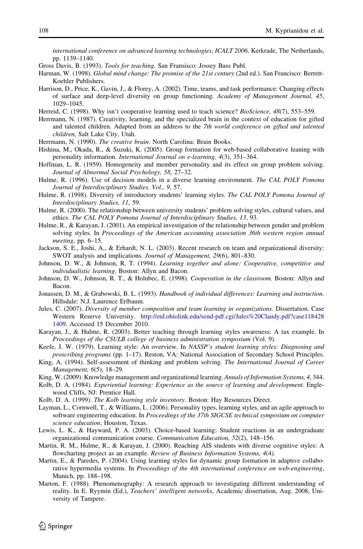<span id="page-25-0"></span>international conference on advanced learning technologies, ICALT 2006, Kerkrade, The Netherlands, pp. 1139–1140.

Gross Davis, B. (1993). Tools for teaching. San Fransisco: Jossey Bass Publ.

- Harman, W. (1998). Global mind change: The promise of the 21st century (2nd ed.). San Francisco: Berrett-Koehler Publishers.
- Harrison, D., Price, K., Gavin, J., & Florey, A. (2002). Time, teams, and task performance: Changing effects of surface and deep-level diversity on group functioning. Academy of Management Journal, 45, 1029–1045.
- Herreid, C. (1998). Why isn't cooperative learning used to teach science? BioScience, 48(7), 553–559.
- Herrmann, N. (1987). Creativity, learning, and the specialized brain in the context of education for gifted and talented children. Adapted from an address to the 7th world conference on gifted and talented children, Salt Lake City, Utah.
- Herrmann, N. (1990). The creative brain. North Carolina: Brain Books.
- Hishina, M., Okada, R., & Suzuki, K. (2005). Group formation for web-based collaborative leaning with personality information. International Journal on e-learning, 4(3), 351–364.
- Hoffman, L. R. (1959). Homogeneity and member personality and its effect on group problem solving. Journal of Abnormal Social Psychology, 58, 27–32.
- Hulme, R. (1996). Use of decision models in a diverse learning environment. The CAL POLY Pomona Journal of Interdisciplinary Studies, Vol., 9, 57.
- Hulme, R. (1998). Diversity of introductory students' learning styles. The CAL POLY Pomona Journal of Interdisciplinary Studies, 11, 59.
- Hulme, R. (2000). The relationship between university students' problem solving styles, cultural values, and ethics. The CAL POLY Pomona Journal of Interdisciplinary Studies, 13, 93.
- Hulme, R., & Karayan, J. (2001). An empirical investigation of the relationship between gender and problem solving styles. In Proceedings of the American accounting association 36th western region annual meeting, pp. 6–15.
- Jackson, S. E., Joshi, A., & Erhardt, N. L. (2003). Recent research on team and organizational diversity: SWOT analysis and implications. Journal of Management, 29(6), 801–830.
- Johnson, D. W., & Johnson, R. T. (1994). Learning together and alone: Cooperative, competitive and individualistic learning. Boston: Allyn and Bacon.
- Johnson, D. W., Johnson, R. T., & Holubec, E. (1998). Cooperation in the classroom. Boston: Allyn and Bacon.
- Jonassen, D. M., & Grabowski, B. L. (1993). Handbook of individual differences: Learning and instruction. Hillsdale: N.J. Laurence Erlbaum.
- Jules, C. (2007). Diversity of member composition and team learning in organizations. Dissertation. Case Western Reserve University. [http://etd.ohiolink.edu/send-pdf.cgi/Jules%20Claudy.pdf?case118428](http://etd.ohiolink.edu/send-pdf.cgi/Jules%20Claudy.pdf?case1184281409) [1409.](http://etd.ohiolink.edu/send-pdf.cgi/Jules%20Claudy.pdf?case1184281409) Accessed 15 December 2010.
- Karayan, J., & Hulme, R. (2003). Better teaching through learning styles awareness: A tax example. In Proceedings of the CSULB college of business administration symposium (Vol. 9).
- Keefe, J. W. (1979). Learning style: An overview. In NASSP's student learning styles: Diagnosing and proscribing programs (pp. 1–17). Reston, VA: National Association of Secondary School Principles.
- King, A. (1994). Self-assessment of thinking and problem solving. The International Journal of Career Management, 6(5), 18–29.
- King, W. (2009). Knowledge management and organizational learning. Annals of Information Systems, 4, 344.
- Kolb, D. A. (1984). Experiential learning: Experience as the source of learning and development. Englewood Cliffs, NJ: Prentice Hall.
- Kolb, D. A. (1999). The Kolb learning style inventory. Boston: Hay Resources Direct.
- Layman, L., Cornwell, T., & Williams, L. (2006). Personality types, learning styles, and an agile approach to software engineering education. In Proceedings of the 37th SIGCSE technical symposium on computer science education, Houston, Texas.
- Lewis, L. K., & Hayward, P. A. (2003). Choice-based learning: Student reactions in an undergraduate organizational communication course. Communication Education, 52(2), 148–156.
- Martin, R. M., Hulme, R., & Karayan, J. (2000). Reaching AIS students with diverse cognitive styles: A flowcharting project as an example. Review of Business Information Systems, 4(4).
- Martin, E., & Paredes, P. (2004). Using learning styles for dynamic group formation in adaptive collaborative hypermedia systems. In Proceedings of the 4th international conference on web-engineering, Munich, pp. 188–198.
- Marton, F. (1988). Phenomenography: A research approach to investigating different understanding of reality. In E. Ryymin (Ed.), Teachers' intelligent networks, Academic dissertation, Aug. 2008, University of Tampere.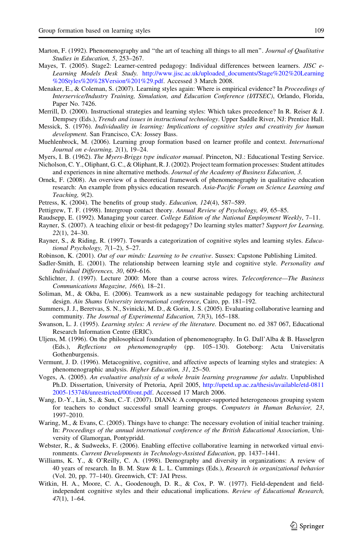- <span id="page-26-0"></span>Marton, F. (1992). Phenomenography and "the art of teaching all things to all men". Journal of Qualitative Studies in Education, 5, 253–267.
- Mayes, T. (2005). Stage2: Learner-centred pedagogy: Individual differences between learners. JISC e-Learning Models Desk Study. [http://www.jisc.ac.uk/uploaded\\_documents/Stage%202%20Learning](http://www.jisc.ac.uk/uploaded_documents/Stage%202%20Learning%20Styles%20%28Version%201%29.pdf) [%20Styles%20%28Version%201%29.pdf.](http://www.jisc.ac.uk/uploaded_documents/Stage%202%20Learning%20Styles%20%28Version%201%29.pdf) Accessed 3 March 2008.
- Menaker, E., & Coleman, S. (2007). Learning styles again: Where is empirical evidence? In *Proceedings of* Interservice/Industry Training, Simulation, and Education Conference (I/ITSEC), Orlando, Florida, Paper No. 7426.
- Merrill, D. (2000). Instructional strategies and learning styles: Which takes precedence? In R. Reiser & J. Dempsey (Eds.), Trends and issues in instructional technology. Upper Saddle River, NJ: Prentice Hall.
- Messick, S. (1976). Individuality in learning: Implications of cognitive styles and creativity for human development. San Francisco, CA: Jossey Bass.
- Muehlenbrock, M. (2006). Learning group formation based on learner profile and context. *International* Journal on e-learning, 2(1), 19–24.
- Myers, I. B. (1962). The Myers-Briggs type indicator manual. Princeton, NJ.: Educational Testing Service. Nicholson, C. Y., Oliphant, G. C., & Oliphant, R. J. (2002). Project team formation processes: Student attitudes

and experiences in nine alternative methods. Journal of the Academy of Business Education, 3.

- Ornek, F. (2008). An overview of a theoretical framework of phenomenography in qualitative education research: An example from physics education research. Asia-Pacific Forum on Science Learning and Teaching, 9(2).
- Petress, K. (2004). The benefits of group study. *Education*, 124(4), 587–589.
- Pettigrew, T. F. (1998). Intergroup contact theory. Annual Review of Psychology, 49, 65–85.
- Raudsepp, E. (1992). Managing your career. College Edition of the National Employment Weekly, 7–11.
- Rayner, S. (2007). A teaching elixir or best-fit pedagogy? Do learning styles matter? Support for Learning, 22(1), 24–30.
- Rayner, S., & Riding, R. (1997). Towards a categorization of cognitive styles and learning styles. *Educa*tional Psychology, 7(1–2), 5–27.
- Robinson, K. (2001). Out of our minds: Learning to be creative. Sussex: Capstone Publishing Limited.
- Sadler-Smith, E. (2001). The relationship between learning style and cognitive style. Personality and Individual Differences, 30, 609–616.
- Schlichter, J. (1997). Lecture 2000: More than a course across wires. Teleconference—The Business Communications Magazine, 16(6), 18–21.
- Soliman, M., & Okba, E. (2006). Teamwork as a new sustainable pedagogy for teaching architectural design. Ain Shams University international conference, Cairo, pp. 181–192.
- Summers, J. J., Beretvas, S. N., Svinicki, M. D., & Gorin, J. S. (2005). Evaluating collaborative learning and community. The Journal of Experimental Education, 73(3), 165–188.
- Swanson, L. J. (1995). Learning styles: A review of the literature. Document no. ed 387 067, Educational Research Information Centre (ERIC).
- Uljens, M. (1996). On the philosophical foundation of phenomenography. In G. Dall'Alba & B. Hasselgren (Eds.), Reflections on phenomenography (pp. 105–130). Goteborg: Acta Universitatis Gothenburgensis.
- Vermunt, J. D. (1996). Metacognitive, cognitive, and affective aspects of learning styles and strategies: A phenomenographic analysis. Higher Education, 31, 25–50.
- Voges, A. (2005). An evaluative analysis of a whole brain learning programme for adults. Unpublished Ph.D. Dissertation, University of Pretoria, April 2005, [http://upetd.up.ac.za/thesis/available/etd-0811](http://upetd.up.ac.za/thesis/available/etd-08112005-153748/unrestricted/00front.pdf) [2005-153748/unrestricted/00front.pdf](http://upetd.up.ac.za/thesis/available/etd-08112005-153748/unrestricted/00front.pdf). Accessed 17 March 2006.
- Wang, D.-Y., Lin, S., & Sun, C.-T. (2007). DIANA: A computer-supported heterogeneous grouping system for teachers to conduct successful small learning groups. Computers in Human Behavior, 23, 1997–2010.
- Waring, M., & Evans, C. (2005). Things have to change: The necessary evolution of initial teacher training. In: Proceedings of the annual international conference of the British Educational Association, University of Glamorgan, Pontypridd.
- Webster, R., & Sudweeks, F. (2006). Enabling effective collaborative learning in networked virtual environments. Current Developments in Technology-Assisted Education, pp. 1437–1441.
- Williams, K. Y., & O'Reilly, C. A. (1998). Demography and diversity in organizations: A review of 40 years of research. In B. M. Staw & L. L. Cummings (Eds.), Research in organizational behavior (Vol. 20, pp. 77–140). Greenwich, CT: JAI Press.
- Witkin, H. A., Moore, C. A., Goodenough, D. R., & Cox, P. W. (1977). Field-dependent and fieldindependent cognitive styles and their educational implications. Review of Educational Research, 47(1), 1–64.